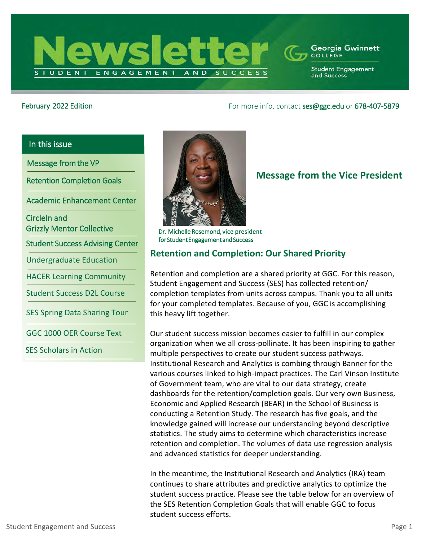

#### **Georgia Gwinnett** COLLEGE

**Student Engagement** and Success

## February 2022 Edition Formore info, contact [ses@ggc.edu](mailto:ses@ggc.edu) or 678-407-5879

# In this issue

Message from the VP

Retention Completion Goals

Academic Enhancement Center

CircleIn and Grizzly Mentor Collective

Student Success Advising Center

Undergraduate Education

HACER Learning Community

Student Success D2L Course

SES Spring Data Sharing Tour

GGC 1000 OER Course Text

SES Scholars in Action



# **Message from the Vice President**

Dr. Michelle Rosemond, vice president for Student Engagement and Success

# **Retention and Completion: Our Shared Priority**

Retention and completion are a shared priority at GGC. For this reason, Student Engagement and Success (SES) has collected retention/ completion templates from units across campus. Thank you to all units for your completed templates. Because of you, GGC is accomplishing this heavy lift together.

Our student success mission becomes easier to fulfill in our complex organization when we all cross-pollinate. It has been inspiring to gather multiple perspectives to create our student success pathways. Institutional Research and Analytics is combing through Banner for the various courses linked to high-impact practices. The Carl Vinson Institute of Government team, who are vital to our data strategy, create dashboards for the retention/completion goals. Our very own Business, Economic and Applied Research (BEAR) in the School of Business is conducting a Retention Study. The research has five goals, and the knowledge gained will increase our understanding beyond descriptive statistics. The study aims to determine which characteristics increase retention and completion. The volumes of data use regression analysis and advanced statistics for deeper understanding.

In the meantime, the Institutional Research and Analytics (IRA) team continues to share attributes and predictive analytics to optimize the student success practice. Please see the table below for an overview of the SES Retention Completion Goals that will enable GGC to focus student success efforts.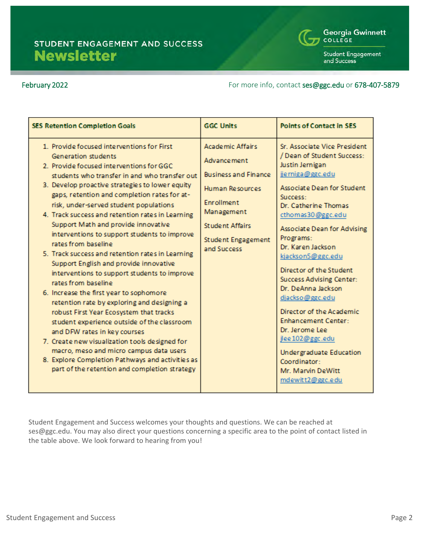

**Student Engagement** and Success

### February 2022 **February 2022 For more info, contact [ses@ggc.edu](mailto:ses@ggc.edu) or 678-407-5879**

| <b>SES Retention Completion Goals</b>                                                                                                                                                                                                                                                                                                                                                                                                                                                                                                                                                                                                                                                                                                                                                                                                                                                                                                                                                                                                                                     | <b>GGC Units</b>                                                                                                                                                                            | <b>Points of Contact in SES</b>                                                                                                                                                                                                                                                                                                                                                                                                                                                                                                                                                  |
|---------------------------------------------------------------------------------------------------------------------------------------------------------------------------------------------------------------------------------------------------------------------------------------------------------------------------------------------------------------------------------------------------------------------------------------------------------------------------------------------------------------------------------------------------------------------------------------------------------------------------------------------------------------------------------------------------------------------------------------------------------------------------------------------------------------------------------------------------------------------------------------------------------------------------------------------------------------------------------------------------------------------------------------------------------------------------|---------------------------------------------------------------------------------------------------------------------------------------------------------------------------------------------|----------------------------------------------------------------------------------------------------------------------------------------------------------------------------------------------------------------------------------------------------------------------------------------------------------------------------------------------------------------------------------------------------------------------------------------------------------------------------------------------------------------------------------------------------------------------------------|
| 1. Provide focused interventions for First<br>Generation students<br>2. Provide focused interventions for GGC<br>students who transfer in and who transfer out<br>3. Develop proactive strategies to lower equity<br>gaps, retention and completion rates for at-<br>risk, under-served student populations<br>4. Track success and retention rates in Learning<br>Support Math and provide innovative<br>interventions to support students to improve<br>rates from baseline.<br>5. Track success and retention rates in Learning<br>Support English and provide innovative<br>interventions to support students to improve<br>rates from baseline<br>6. Increase the first year to sophomore<br>retention rate by exploring and designing a<br>robust First Year Ecosystem that tracks<br>student experience outside of the classroom<br>and DFW rates in key courses<br>7. Create new visualization tools designed for<br>macro, meso and micro campus data users<br>8. Explore Completion Pathways and activities as<br>part of the retention and completion strategy | <b>Academic Affairs</b><br>Advance ment<br><b>Business and Finance</b><br>Human Resources<br>Enrollment<br>Management<br><b>Student Affairs</b><br><b>Student Engagement</b><br>and Success | Sr. Associate Vice President<br>/ Dean of Student Success:<br>Justin Jernigan<br>jjerniga@ggc.edu<br>Associate Dean for Student<br>Success:<br>Dr. Catherine Thomas<br>cthomas30@ggc.edu<br>Associate Dean for Advising<br>Programs:<br>Dr. Karen Jackson<br>kjackson5@ggc.edu<br>Director of the Student<br><b>Success Advising Center:</b><br>Dr. DeAnna Jackson<br>djackso@ggc.edu<br>Director of the Academic<br><b>Enhancement Center:</b><br>Dr. Jerome Lee<br>jlee 102@ggc.edu<br><b>Undergraduate Education</b><br>Coordinator:<br>Mr. Marvin DeWitt<br>mdewitt2@ggc.edu |

Student Engagement and Success welcomes your thoughts and questions. We can be reached at ses@ggc.edu. You may also direct your questions concerning a specific area to the point of contact listed in the table above. We look forward to hearing from you!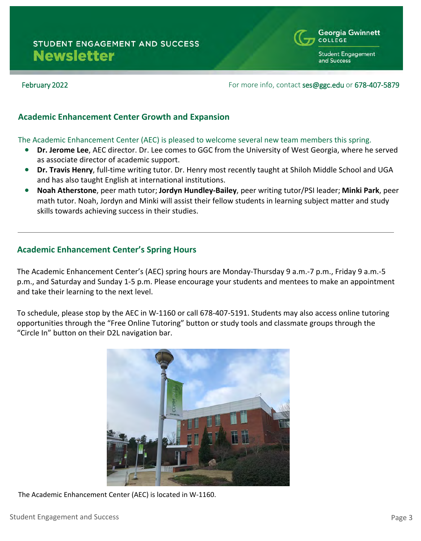

### February 2022 **February 2022 For more info, contact [ses@ggc.edu](mailto:ses@ggc.edu) or 678-407-5879**

### **Academic Enhancement Center Growth and Expansion**

#### The Academic Enhancement Center (AEC) is pleased to welcome several new team members this spring.

- **Dr. Jerome Lee**, AEC director. Dr. Lee comes to GGC from the University of West Georgia, where he served as associate director of academic support.
- **Dr. Travis Henry**, full-time writing tutor. Dr. Henry most recently taught at Shiloh Middle School and UGA and has also taught English at international institutions.
- **Noah Atherstone**, peer math tutor; **Jordyn Hundley-Bailey**, peer writing tutor/PSI leader; **Minki Park**, peer math tutor. Noah, Jordyn and Minki will assist their fellow students in learning subject matter and study skills towards achieving success in their studies.

## **Academic Enhancement Center's Spring Hours**

The Academic Enhancement Center's (AEC) spring hours are Monday-Thursday 9 a.m.-7 p.m., Friday 9 a.m.-5 p.m., and Saturday and Sunday 1-5 p.m. Please encourage your students and mentees to make an appointment and take their learning to the next level.

To schedule, please stop by the AEC in W-1160 or call 678-407-5191. Students may also access online tutoring opportunities through the "Free Online Tutoring" button or study tools and classmate groups through the "Circle In" button on their D2L navigation bar.



The Academic Enhancement Center (AEC) is located in W-1160.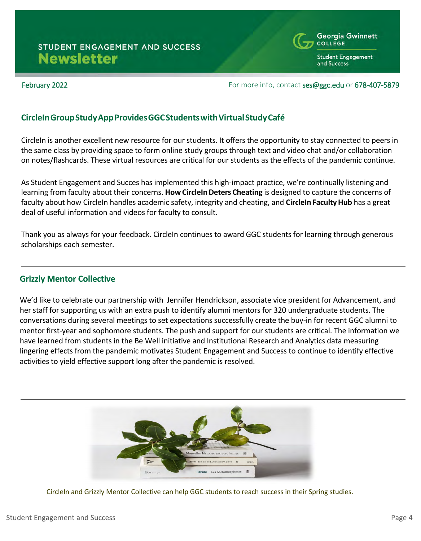

**Student Engagement** and Success

#### February 2022 **February 2022 For more info, contact [ses@ggc.edu](mailto:ses@ggc.edu) or 678-407-5879**

## **CircleInGroupStudyAppProvidesGGCStudentswithVirtualStudyCafé**

CircleIn is another excellent new resource for our students. It offers the opportunity to stay connected to peers in the same class by providing space to form online study groups through text and video chat and/or collaboration on notes/flashcards. These virtual resources are critical for our students as the effects of the pandemic continue.

As Student Engagement and Succes has implemented this high-impact practice, we're continually listening and learning from faculty about their concerns. **[HowCircleInDeters](https://drive.google.com/file/d/1k0oLLIasoUWSl_C-kacf5wkfqbwV7LWs/view?usp=sharing) Cheating** is designed to capture the concerns of faculty about how CircleIn handles academic safety, integrity and cheating, and **CircleIn [FacultyHub](https://faculty.circleinapp.com/ggc)** has a great deal of useful information and videos for faculty to consult.

Thank you as always for your feedback. CircleIn continues to award GGC students for learning through generous scholarships each semester.

## **Grizzly Mentor Collective**

We'd like to celebrate our partnership with Jennifer Hendrickson, associate vice president for Advancement, and her staff for supporting us with an extra push to identify alumni mentors for 320 undergraduate students. The conversations during several meetings to set expectations successfully create the buy-in for recent GGC alumni to mentor first-year and sophomore students. The push and support for our students are critical. The information we have learned from students in the Be Well initiative and Institutional Research and Analytics data measuring lingering effects from the pandemic motivates Student Engagement and Success to continue to identify effective activities to yield effective support long after the pandemic is resolved.



CircleIn and Grizzly Mentor Collective can help GGC students to reach success in their Spring studies.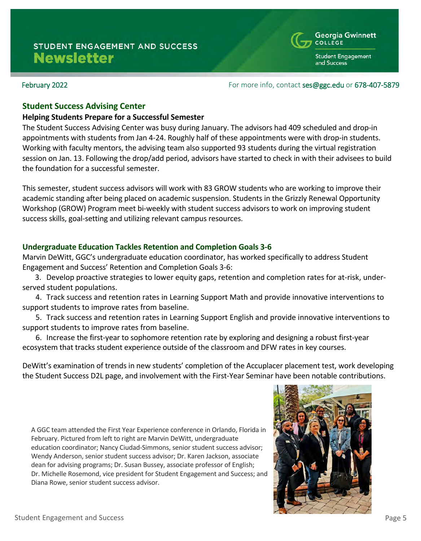#### February 2022 **February 2022 For more info, contact ses@ggc.edu or 678-407-5879**

### **Student Success Advising Center**

#### **Helping Students Prepare for a Successful Semester**

The Student Success Advising Center was busy during January. The advisors had 409 scheduled and drop-in appointments with students from Jan 4-24. Roughly half of these appointments were with drop-in students. Working with faculty mentors, the advising team also supported 93 students during the virtual registration session on Jan. 13. Following the drop/add period, advisors have started to check in with their advisees to build the foundation for a successful semester.

This semester, student success advisors will work with 83 GROW students who are working to improve their academic standing after being placed on academic suspension. Students in the Grizzly Renewal Opportunity Workshop (GROW) Program meet bi-weekly with student success advisors to work on improving student success skills, goal-setting and utilizing relevant campus resources.

### **Undergraduate Education Tackles Retention and Completion Goals 3-6**

Marvin DeWitt, GGC's undergraduate education coordinator, has worked specifically to address Student Engagement and Success' Retention and Completion Goals 3-6:

3. Develop proactive strategies to lower equity gaps, retention and completion rates for at-risk, underserved student populations.

4. Track success and retention rates in Learning Support Math and provide innovative interventions to support students to improve rates from baseline.

5. Track success and retention rates in Learning Support English and provide innovative interventions to support students to improve rates from baseline.

6. Increase the first-year to sophomore retention rate by exploring and designing a robust first-year ecosystem that tracks student experience outside of the classroom and DFW rates in key courses.

DeWitt's examination of trends in new students' completion of the Accuplacer placement test, work developing the Student Success D2L page, and involvement with the First-Year Seminar have been notable contributions.

A GGC team attended the First Year Experience conference in Orlando, Florida in February. Pictured from left to right are Marvin DeWitt, undergraduate education coordinator; Nancy Ciudad-Simmons, senior student success advisor; Wendy Anderson, senior student success advisor; Dr. Karen Jackson, associate dean for advising programs; Dr. Susan Bussey, associate professor of English; Dr. Michelle Rosemond, vice president for Student Engagement and Success; and Diana Rowe, senior student success advisor.





**Student Engagement** and Success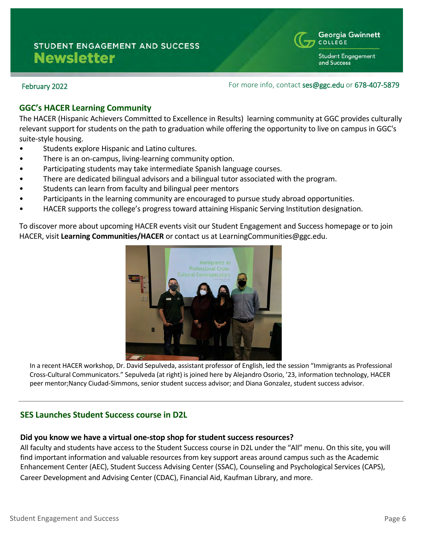**Student Engagement** and Success

### February 2022 **February 2022 For more info, contact ses@ggc.edu or 678-407-5879**

## **GGC's HACER Learning Community**

The HACER (Hispanic Achievers Committed to Excellence in Results) learning community at GGC provides culturally relevant support for students on the path to graduation while offering the opportunity to live on campus in GGC's suite-style housing.

- Students explore Hispanic and Latino cultures.
- There is an on-campus, living-learning community option.
- Participating students may take intermediate Spanish language courses.
- There are dedicated bilingual advisors and a bilingual tutor associated with the program.
- Students can learn from faculty and bilingual peer mentors
- Participants in the learning community are encouraged to pursue study abroad opportunities.
- HACER supports the college's progress toward attaining Hispanic Serving Institution designation.

To discover more about upcoming HACER events visit our Student Engagement and Success homepage or to join HACER, visit **[Learning Communities/HACER](https://www.ggc.edu/academics/learning-communities/hacer/)** or contact us at LearningCommunities@ggc.edu.



In a recent HACER workshop, Dr. David Sepulveda, assistant professor of English, led the session "Immigrants as Professional Cross-Cultural Communicators." Sepulveda (at right) is joined here by Alejandro Osorio, '23, information technology, HACER peer mentor;Nancy Ciudad-Simmons, senior student success advisor; and Diana Gonzalez, student success advisor.

## **SES Launches Student Success course in D2L**

#### **Did you know we have a virtual one-stop shop for student success resources?**

All faculty and students have access to the Student Success course in D2L under the "All" menu. On this site, you will find important information and valuable resources from key support areas around campus such as the Academic Enhancement Center (AEC), Student Success Advising Center (SSAC), Counseling and Psychological Services (CAPS), Career Development and Advising Center (CDAC), Financial Aid, Kaufman Library, and more.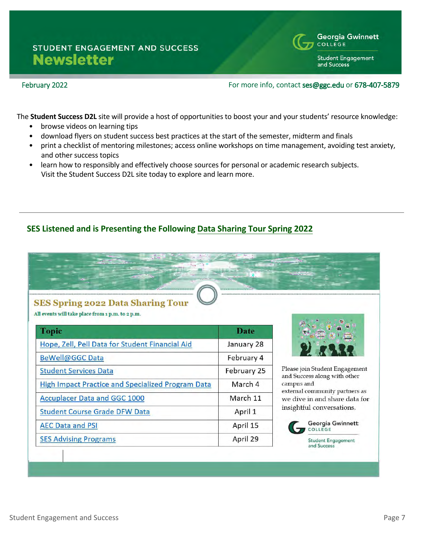

### February 2022 **Formore info, contact ses@ggc.edu or 678-407-5879**

Georgia Gwinnett

**Student Engagement** 

COLLEGE

and Success

The **Student Success D2L** site will provide a host of opportunities to boost your and your students' resource knowledge:

- browse videos on learning tips
- download flyers on student success best practices at the start of the semester, midterm and finals
- print a checklist of mentoring milestones; access online workshops on time management, avoiding test anxiety, and other success topics
- learn how to responsibly and effectively choose sources for personal or academic research subjects. Visit the Student Success D2L site today to explore and learn more.

## **SES Listened and is Presenting the Following [Data Sharing Tour Spring 2022](https://mcusercontent.com/4a4a039194bc553f428be53bd/files/8f887ab3-8be6-3e86-19b1-1aaaddb73d3f/Spring_2022_Data_Sharing_Flyer_Final.pdf)**

# **SES Spring 2022 Data Sharing Tour**

All events will take place from 1 p.m. to 2 p.m.

| <b>Topic</b>                                             | <b>Date</b> |
|----------------------------------------------------------|-------------|
| Hope, Zell, Pell Data for Student Financial Aid          | January 28  |
| <b>BeWell@GGC Data</b>                                   | February 4  |
| <b>Student Services Data</b>                             | February 25 |
| <b>High Impact Practice and Specialized Program Data</b> | March 4     |
| <b>Accuplacer Data and GGC 1000</b>                      | March 11    |
| <b>Student Course Grade DFW Data</b>                     | April 1     |
| <b>AEC Data and PSI</b>                                  | April 15    |
| <b>SES Advising Programs</b>                             | April 29    |



Please join Student Engagement and Success along with other campus and external community partners as we dive in and share data for insightful conversations.